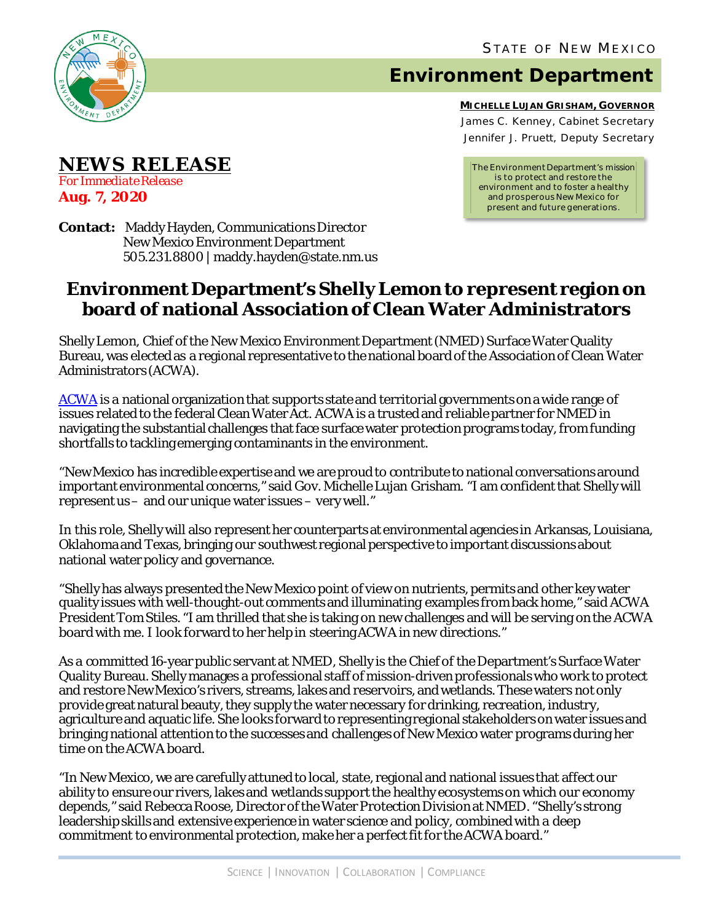

**NEWS RELEASE**

*For Immediate Release*

**Aug. 7, 2020**

## **Environment Department**

**MICHELLE LUJAN GRISHAM, GOVERNOR** James C. Kenney, Cabinet Secretary Jennifer J. Pruett, Deputy Secretary

*The Environment Department's mission is to protect and restore the environment and to foster a healthy and prosperous New Mexico for present and future generations.*

**Contact:** Maddy Hayden, Communications Director New Mexico Environment Department 505.231.8800 | maddy.hayden@state.nm.us

## **Environment Department's Shelly Lemon to represent region on board of national Association of Clean Water Administrators**

Shelly Lemon, Chief of the New Mexico Environment Department (NMED) Surface Water Quality Bureau, was elected as a regional representative to the national board of the Association of Clean Water Administrators (ACWA).

[ACWA](https://www.acwa-us.org/) is a national organization that supports state and territorial governments on a wide range of issues related to the federal Clean Water Act. ACWA is a trusted and reliable partner for NMED in navigating the substantial challenges that face surface water protection programs today, from funding shortfalls to tackling emerging contaminants in the environment.

"New Mexico has incredible expertise and we are proud to contribute to national conversations around important environmental concerns," said Gov. Michelle Lujan Grisham. "I am confident that Shelly will represent us– and our unique water issues – very well."

In this role, Shelly will also represent her counterparts at environmental agencies in Arkansas, Louisiana, Oklahoma and Texas, bringing our southwest regional perspective to important discussions about national water policy and governance.

"Shelly has always presented the New Mexico point of view on nutrients, permits and other key water quality issues with well-thought-out comments and illuminating examples from back home," said ACWA President Tom Stiles. "I am thrilled that she is taking on new challenges and will be serving on the ACWA board with me. I look forward to her help in steering ACWA in new directions."

As a committed 16-year public servant at NMED, Shelly is the Chief of the Department's Surface Water Quality Bureau. Shelly manages a professional staff of mission-driven professionals who work to protect and restore New Mexico's rivers, streams, lakes and reservoirs, and wetlands. These waters not only provide great natural beauty, they supply the water necessary for drinking, recreation, industry, agriculture and aquatic life. She looks forward to representing regional stakeholders on water issues and bringing national attention to the successes and challenges of New Mexico water programs during her time on the ACWA board.

"In New Mexico, we are carefully attuned to local, state, regional and national issues that affect our ability to ensure our rivers, lakes and wetlands support the healthy ecosystems on which our economy depends," said Rebecca Roose, Director of the Water Protection Division at NMED. "Shelly's strong leadership skills and extensive experience in water science and policy, combined with a deep commitment to environmental protection, make her a perfect fit for the ACWA board."